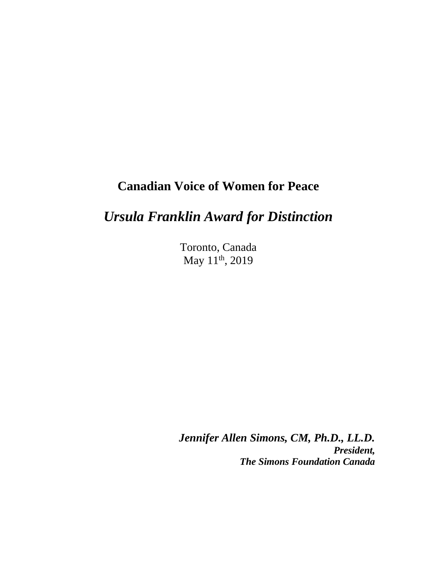## **Canadian Voice of Women for Peace**

## *Ursula Franklin Award for Distinction*

Toronto, Canada May 11<sup>th</sup>, 2019

*Jennifer Allen Simons, CM, Ph.D., LL.D. President, The Simons Foundation Canada*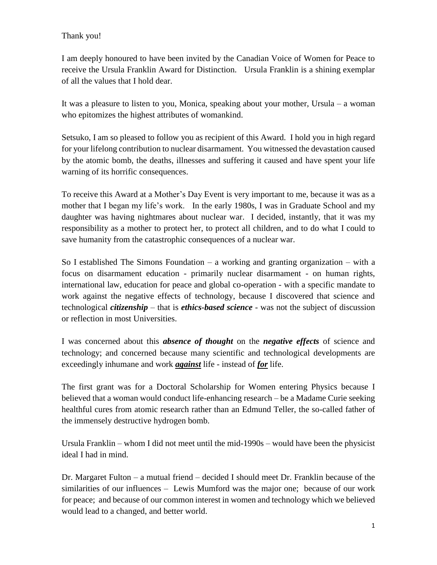## Thank you!

I am deeply honoured to have been invited by the Canadian Voice of Women for Peace to receive the Ursula Franklin Award for Distinction. Ursula Franklin is a shining exemplar of all the values that I hold dear.

It was a pleasure to listen to you, Monica, speaking about your mother, Ursula – a woman who epitomizes the highest attributes of womankind.

Setsuko, I am so pleased to follow you as recipient of this Award. I hold you in high regard for your lifelong contribution to nuclear disarmament. You witnessed the devastation caused by the atomic bomb, the deaths, illnesses and suffering it caused and have spent your life warning of its horrific consequences.

To receive this Award at a Mother's Day Event is very important to me, because it was as a mother that I began my life's work. In the early 1980s, I was in Graduate School and my daughter was having nightmares about nuclear war. I decided, instantly, that it was my responsibility as a mother to protect her, to protect all children, and to do what I could to save humanity from the catastrophic consequences of a nuclear war.

So I established The Simons Foundation – a working and granting organization – with a focus on disarmament education - primarily nuclear disarmament - on human rights, international law, education for peace and global co-operation - with a specific mandate to work against the negative effects of technology, because I discovered that science and technological *citizenship* – that is *ethics-based science* - was not the subject of discussion or reflection in most Universities.

I was concerned about this *absence of thought* on the *negative effects* of science and technology; and concerned because many scientific and technological developments are exceedingly inhumane and work *against* life - instead of *for* life.

The first grant was for a Doctoral Scholarship for Women entering Physics because I believed that a woman would conduct life-enhancing research – be a Madame Curie seeking healthful cures from atomic research rather than an Edmund Teller, the so-called father of the immensely destructive hydrogen bomb.

Ursula Franklin – whom I did not meet until the mid-1990s – would have been the physicist ideal I had in mind.

Dr. Margaret Fulton – a mutual friend – decided I should meet Dr. Franklin because of the similarities of our influences – Lewis Mumford was the major one; because of our work for peace; and because of our common interest in women and technology which we believed would lead to a changed, and better world.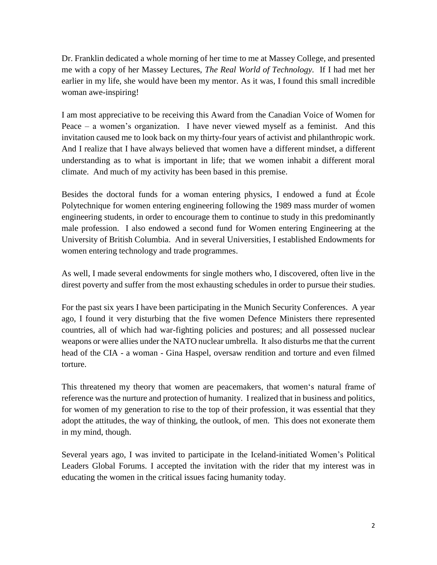Dr. Franklin dedicated a whole morning of her time to me at Massey College, and presented me with a copy of her Massey Lectures, *The Real World of Technology.* If I had met her earlier in my life, she would have been my mentor. As it was, I found this small incredible woman awe-inspiring!

I am most appreciative to be receiving this Award from the Canadian Voice of Women for Peace – a women's organization. I have never viewed myself as a feminist. And this invitation caused me to look back on my thirty-four years of activist and philanthropic work. And I realize that I have always believed that women have a different mindset, a different understanding as to what is important in life; that we women inhabit a different moral climate. And much of my activity has been based in this premise.

Besides the doctoral funds for a woman entering physics, I endowed a fund at École Polytechnique for women entering engineering following the 1989 mass murder of women engineering students, in order to encourage them to continue to study in this predominantly male profession. I also endowed a second fund for Women entering Engineering at the University of British Columbia. And in several Universities, I established Endowments for women entering technology and trade programmes.

As well, I made several endowments for single mothers who, I discovered, often live in the direst poverty and suffer from the most exhausting schedules in order to pursue their studies.

For the past six years I have been participating in the Munich Security Conferences. A year ago, I found it very disturbing that the five women Defence Ministers there represented countries, all of which had war-fighting policies and postures; and all possessed nuclear weapons or were allies under the NATO nuclear umbrella. It also disturbs me that the current head of the CIA - a woman - Gina Haspel, oversaw rendition and torture and even filmed torture.

This threatened my theory that women are peacemakers, that women's natural frame of reference was the nurture and protection of humanity. I realized that in business and politics, for women of my generation to rise to the top of their profession, it was essential that they adopt the attitudes, the way of thinking, the outlook, of men. This does not exonerate them in my mind, though.

Several years ago, I was invited to participate in the Iceland-initiated Women's Political Leaders Global Forums. I accepted the invitation with the rider that my interest was in educating the women in the critical issues facing humanity today.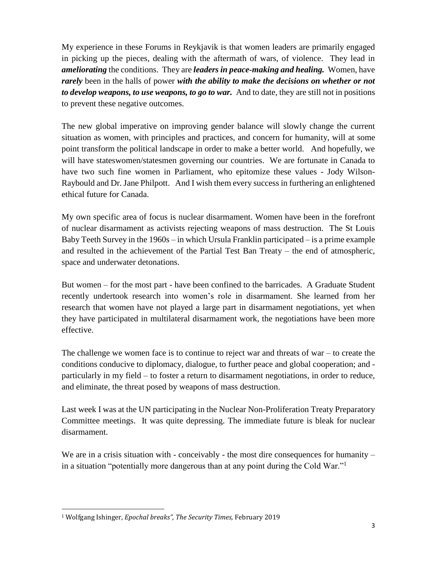My experience in these Forums in Reykjavik is that women leaders are primarily engaged in picking up the pieces, dealing with the aftermath of wars, of violence. They lead in *ameliorating* the conditions. They are *leaders in peace-making and healing.* Women, have *rarely* been in the halls of power *with the ability to make the decisions on whether or not to develop weapons, to use weapons, to go to war.* And to date, they are still not in positions to prevent these negative outcomes.

The new global imperative on improving gender balance will slowly change the current situation as women, with principles and practices, and concern for humanity, will at some point transform the political landscape in order to make a better world. And hopefully, we will have stateswomen/statesmen governing our countries. We are fortunate in Canada to have two such fine women in Parliament, who epitomize these values - Jody Wilson-Raybould and Dr. Jane Philpott. And I wish them every success in furthering an enlightened ethical future for Canada.

My own specific area of focus is nuclear disarmament. Women have been in the forefront of nuclear disarmament as activists rejecting weapons of mass destruction. The St Louis Baby Teeth Survey in the 1960s – in which Ursula Franklin participated – is a prime example and resulted in the achievement of the Partial Test Ban Treaty – the end of atmospheric, space and underwater detonations.

But women – for the most part - have been confined to the barricades. A Graduate Student recently undertook research into women's role in disarmament. She learned from her research that women have not played a large part in disarmament negotiations, yet when they have participated in multilateral disarmament work, the negotiations have been more effective.

The challenge we women face is to continue to reject war and threats of war – to create the conditions conducive to diplomacy, dialogue, to further peace and global cooperation; and particularly in my field – to foster a return to disarmament negotiations, in order to reduce, and eliminate, the threat posed by weapons of mass destruction.

Last week I was at the UN participating in the Nuclear Non-Proliferation Treaty Preparatory Committee meetings. It was quite depressing. The immediate future is bleak for nuclear disarmament.

We are in a crisis situation with - conceivably - the most dire consequences for humanity – in a situation "potentially more dangerous than at any point during the Cold War."<sup>1</sup>

 $\overline{a}$ 

<sup>1</sup> Wolfgang Ishinger, *Epochal breaks", The Security Times,* February 2019